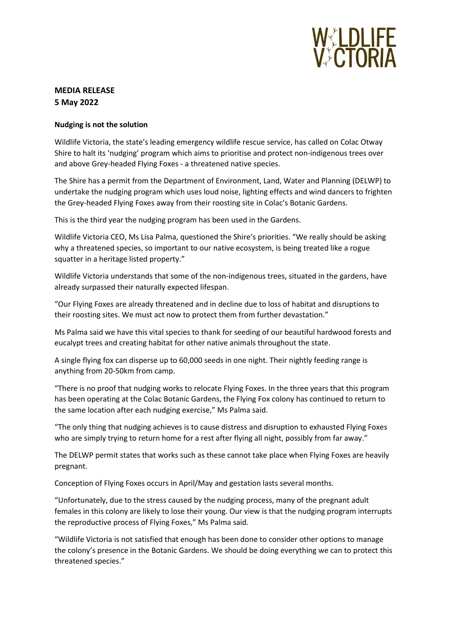

# **MEDIA RELEASE 5 May 2022**

### **Nudging is not the solution**

Wildlife Victoria, the state's leading emergency wildlife rescue service, has called on Colac Otway Shire to halt its 'nudging' program which aims to prioritise and protect non-indigenous trees over and above Grey-headed Flying Foxes - a threatened native species.

The Shire has a permit from the Department of Environment, Land, Water and Planning (DELWP) to undertake the nudging program which uses loud noise, lighting effects and wind dancers to frighten the Grey-headed Flying Foxes away from their roosting site in Colac's Botanic Gardens.

This is the third year the nudging program has been used in the Gardens.

Wildlife Victoria CEO, Ms Lisa Palma, questioned the Shire's priorities. "We really should be asking why a threatened species, so important to our native ecosystem, is being treated like a rogue squatter in a heritage listed property."

Wildlife Victoria understands that some of the non-indigenous trees, situated in the gardens, have already surpassed their naturally expected lifespan.

"Our Flying Foxes are already threatened and in decline due to loss of habitat and disruptions to their roosting sites. We must act now to protect them from further devastation."

Ms Palma said we have this vital species to thank for seeding of our beautiful hardwood forests and eucalypt trees and creating habitat for other native animals throughout the state.

A single flying fox can disperse up to 60,000 seeds in one night. Their nightly feeding range is anything from 20-50km from camp.

"There is no proof that nudging works to relocate Flying Foxes. In the three years that this program has been operating at the Colac Botanic Gardens, the Flying Fox colony has continued to return to the same location after each nudging exercise," Ms Palma said.

"The only thing that nudging achieves is to cause distress and disruption to exhausted Flying Foxes who are simply trying to return home for a rest after flying all night, possibly from far away."

The DELWP permit states that works such as these cannot take place when Flying Foxes are heavily pregnant.

Conception of Flying Foxes occurs in April/May and gestation lasts several months.

"Unfortunately, due to the stress caused by the nudging process, many of the pregnant adult females in this colony are likely to lose their young. Our view is that the nudging program interrupts the reproductive process of Flying Foxes," Ms Palma said.

"Wildlife Victoria is not satisfied that enough has been done to consider other options to manage the colony's presence in the Botanic Gardens. We should be doing everything we can to protect this threatened species."